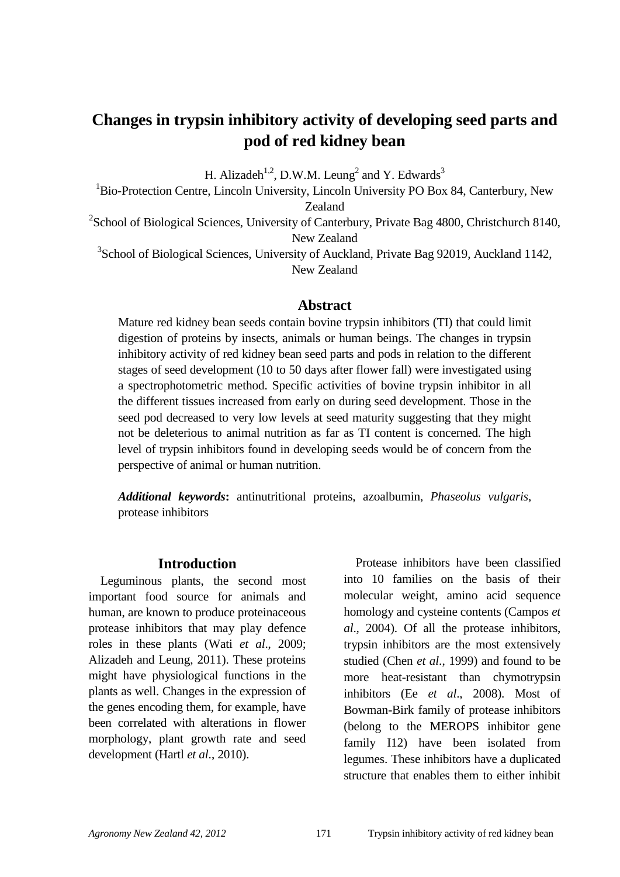# **Changes in trypsin inhibitory activity of developing seed parts and pod of red kidney bean**

H. Alizadeh<sup>1,2</sup>, D.W.M. Leung<sup>2</sup> and Y. Edwards<sup>3</sup>

<sup>1</sup>Bio-Protection Centre, Lincoln University, Lincoln University PO Box 84, Canterbury, New Zealand

 $2$ School of Biological Sciences, University of Canterbury, Private Bag 4800, Christchurch 8140, New Zealand

<sup>3</sup>School of Biological Sciences, University of Auckland, Private Bag 92019, Auckland 1142, New Zealand

#### **Abstract**

Mature red kidney bean seeds contain bovine trypsin inhibitors (TI) that could limit digestion of proteins by insects, animals or human beings. The changes in trypsin inhibitory activity of red kidney bean seed parts and pods in relation to the different stages of seed development (10 to 50 days after flower fall) were investigated using a spectrophotometric method. Specific activities of bovine trypsin inhibitor in all the different tissues increased from early on during seed development. Those in the seed pod decreased to very low levels at seed maturity suggesting that they might not be deleterious to animal nutrition as far as TI content is concerned. The high level of trypsin inhibitors found in developing seeds would be of concern from the perspective of animal or human nutrition.

*Additional keywords***:** antinutritional proteins, azoalbumin, *Phaseolus vulgaris*, protease inhibitors

#### **Introduction**

Leguminous plants, the second most important food source for animals and human, are known to produce proteinaceous protease inhibitors that may play defence roles in these plants (Wati *et al*., 2009; Alizadeh and Leung, 2011). These proteins might have physiological functions in the plants as well. Changes in the expression of the genes encoding them, for example, have been correlated with alterations in flower morphology, plant growth rate and seed development (Hartl *et al*., 2010).

Protease inhibitors have been classified into 10 families on the basis of their molecular weight, amino acid sequence homology and cysteine contents (Campos *et al*., 2004). Of all the protease inhibitors, trypsin inhibitors are the most extensively studied (Chen *et al*., 1999) and found to be more heat-resistant than chymotrypsin inhibitors (Ee *et al*., 2008). Most of Bowman-Birk family of protease inhibitors (belong to the MEROPS inhibitor gene family I12) have been isolated from legumes. These inhibitors have a duplicated structure that enables them to either inhibit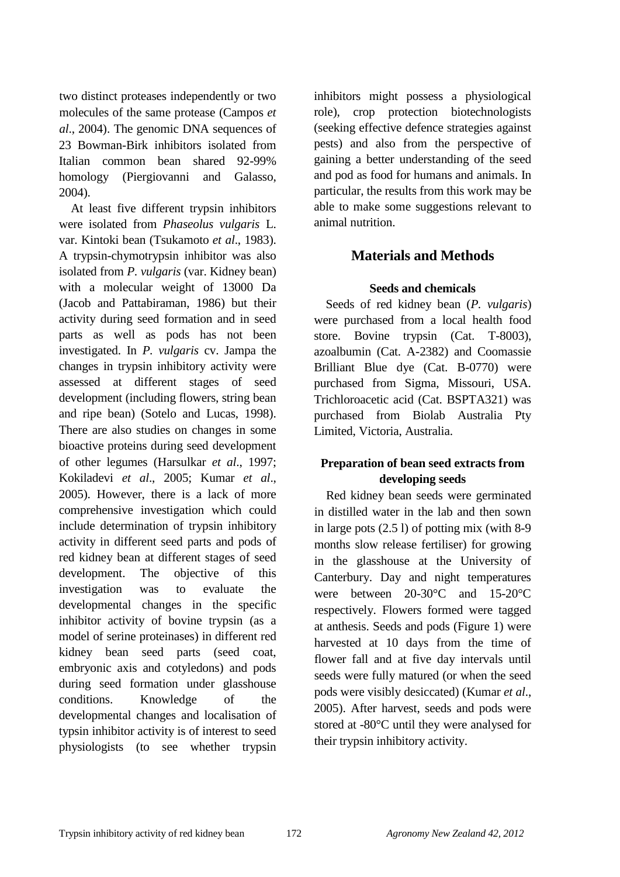two distinct proteases independently or two molecules of the same protease (Campos *et al*., 2004). The genomic DNA sequences of 23 Bowman-Birk inhibitors isolated from Italian common bean shared 92-99% homology (Piergiovanni and Galasso, 2004).

At least five different trypsin inhibitors were isolated from *Phaseolus vulgaris* L. var. Kintoki bean (Tsukamoto *et al*., 1983). A trypsin-chymotrypsin inhibitor was also isolated from *P. vulgaris* (var. Kidney bean) with a molecular weight of 13000 Da (Jacob and Pattabiraman, 1986) but their activity during seed formation and in seed parts as well as pods has not been investigated. In *P. vulgaris* cv. Jampa the changes in trypsin inhibitory activity were assessed at different stages of seed development (including flowers, string bean and ripe bean) (Sotelo and Lucas, 1998). There are also studies on changes in some bioactive proteins during seed development of other legumes (Harsulkar *et al*., 1997; Kokiladevi *et al*., 2005; Kumar *et al*., 2005). However, there is a lack of more comprehensive investigation which could include determination of trypsin inhibitory activity in different seed parts and pods of red kidney bean at different stages of seed development. The objective of this investigation was to evaluate the developmental changes in the specific inhibitor activity of bovine trypsin (as a model of serine proteinases) in different red kidney bean seed parts (seed coat, embryonic axis and cotyledons) and pods during seed formation under glasshouse conditions. Knowledge of the developmental changes and localisation of typsin inhibitor activity is of interest to seed physiologists (to see whether trypsin inhibitors might possess a physiological role), crop protection biotechnologists (seeking effective defence strategies against pests) and also from the perspective of gaining a better understanding of the seed and pod as food for humans and animals. In particular, the results from this work may be able to make some suggestions relevant to animal nutrition.

# **Materials and Methods**

#### **Seeds and chemicals**

Seeds of red kidney bean (*P. vulgaris*) were purchased from a local health food store. Bovine trypsin (Cat. T-8003), azoalbumin (Cat. A-2382) and Coomassie Brilliant Blue dye (Cat. B-0770) were purchased from Sigma, Missouri, USA. Trichloroacetic acid (Cat. BSPTA321) was purchased from Biolab Australia Pty Limited, Victoria, Australia.

# **Preparation of bean seed extracts from developing seeds**

Red kidney bean seeds were germinated in distilled water in the lab and then sown in large pots (2.5 l) of potting mix (with 8-9 months slow release fertiliser) for growing in the glasshouse at the University of Canterbury. Day and night temperatures were between 20-30°C and 15-20°C respectively. Flowers formed were tagged at anthesis. Seeds and pods (Figure 1) were harvested at 10 days from the time of flower fall and at five day intervals until seeds were fully matured (or when the seed pods were visibly desiccated) (Kumar *et al*., 2005). After harvest, seeds and pods were stored at -80°C until they were analysed for their trypsin inhibitory activity.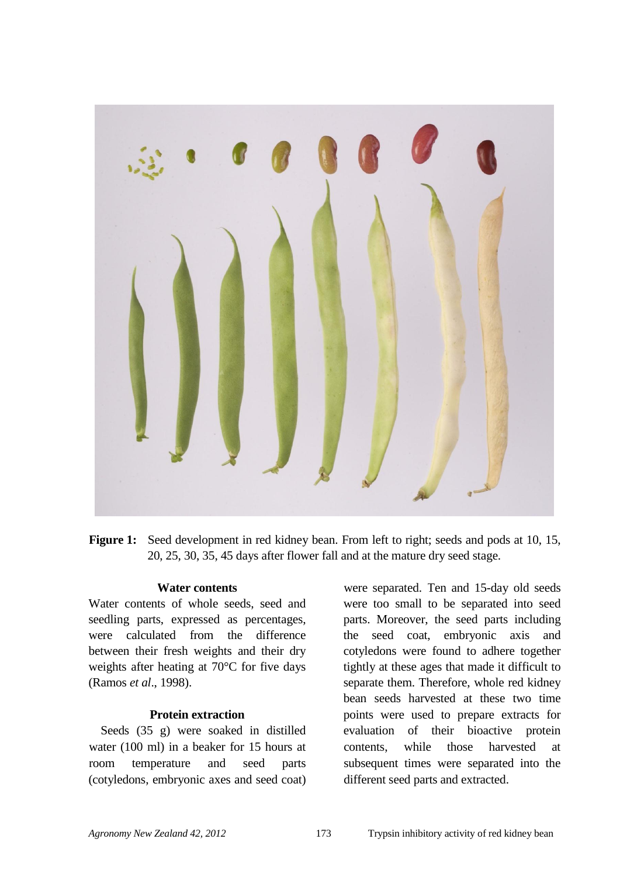

**Figure 1:** Seed development in red kidney bean. From left to right; seeds and pods at 10, 15, 20, 25, 30, 35, 45 days after flower fall and at the mature dry seed stage.

#### **Water contents**

Water contents of whole seeds, seed and seedling parts, expressed as percentages, were calculated from the difference between their fresh weights and their dry weights after heating at 70°C for five days (Ramos *et al*., 1998).

#### **Protein extraction**

Seeds (35 g) were soaked in distilled water (100 ml) in a beaker for 15 hours at room temperature and seed parts (cotyledons, embryonic axes and seed coat)

were separated. Ten and 15-day old seeds were too small to be separated into seed parts. Moreover, the seed parts including the seed coat, embryonic axis and cotyledons were found to adhere together tightly at these ages that made it difficult to separate them. Therefore, whole red kidney bean seeds harvested at these two time points were used to prepare extracts for evaluation of their bioactive protein contents, while those harvested at subsequent times were separated into the different seed parts and extracted.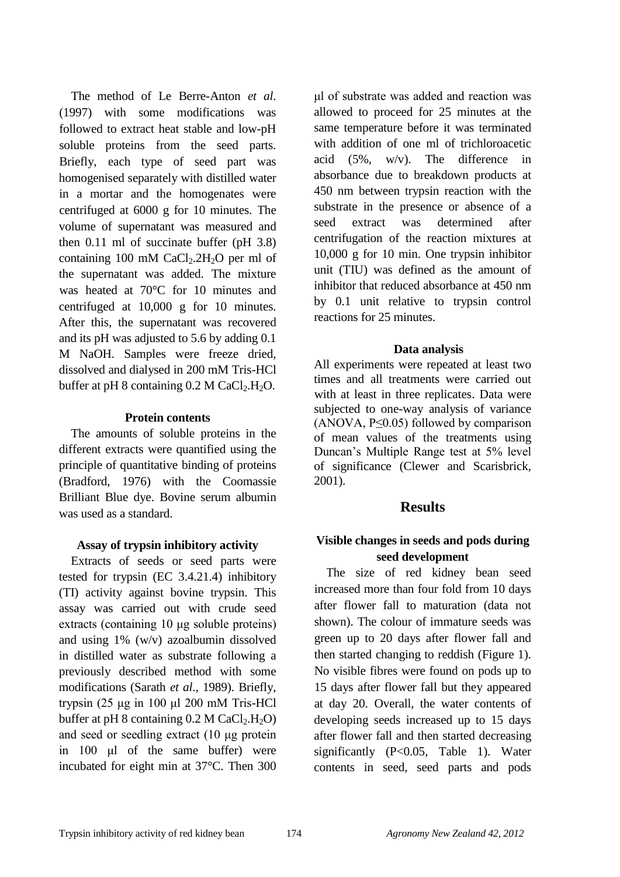The method of Le Berre-Anton *et al*. (1997) with some modifications was followed to extract heat stable and low-pH soluble proteins from the seed parts. Briefly, each type of seed part was homogenised separately with distilled water in a mortar and the homogenates were centrifuged at 6000 g for 10 minutes. The volume of supernatant was measured and then 0.11 ml of succinate buffer (pH 3.8) containing 100 mM  $CaCl<sub>2</sub>$ .  $2H<sub>2</sub>O$  per ml of the supernatant was added. The mixture was heated at 70°C for 10 minutes and centrifuged at 10,000 g for 10 minutes. After this, the supernatant was recovered and its pH was adjusted to 5.6 by adding 0.1 M NaOH. Samples were freeze dried, dissolved and dialysed in 200 mM Tris-HCl buffer at pH 8 containing  $0.2$  M CaCl<sub>2</sub>.H<sub>2</sub>O.

#### **Protein contents**

The amounts of soluble proteins in the different extracts were quantified using the principle of quantitative binding of proteins (Bradford, 1976) with the Coomassie Brilliant Blue dye. Bovine serum albumin was used as a standard.

#### **Assay of trypsin inhibitory activity**

Extracts of seeds or seed parts were tested for trypsin (EC 3.4.21.4) inhibitory (TI) activity against bovine trypsin. This assay was carried out with crude seed extracts (containing 10 μg soluble proteins) and using 1% (w/v) azoalbumin dissolved in distilled water as substrate following a previously described method with some modifications (Sarath *et al*., 1989). Briefly, trypsin (25 μg in 100 μl 200 mM Tris-HCl buffer at pH 8 containing  $0.2$  M CaCl<sub>2</sub>.H<sub>2</sub>O) and seed or seedling extract (10 μg protein in 100 μl of the same buffer) were incubated for eight min at 37°C. Then 300 μl of substrate was added and reaction was allowed to proceed for 25 minutes at the same temperature before it was terminated with addition of one ml of trichloroacetic acid (5%, w/v). The difference in absorbance due to breakdown products at 450 nm between trypsin reaction with the substrate in the presence or absence of a seed extract was determined after centrifugation of the reaction mixtures at 10,000 g for 10 min. One trypsin inhibitor unit (TIU) was defined as the amount of inhibitor that reduced absorbance at 450 nm by 0.1 unit relative to trypsin control reactions for 25 minutes.

#### **Data analysis**

All experiments were repeated at least two times and all treatments were carried out with at least in three replicates. Data were subjected to one-way analysis of variance (ANOVA, P≤0.05) followed by comparison of mean values of the treatments using Duncan"s Multiple Range test at 5% level of significance (Clewer and Scarisbrick, 2001).

#### **Results**

# **Visible changes in seeds and pods during seed development**

The size of red kidney bean seed increased more than four fold from 10 days after flower fall to maturation (data not shown). The colour of immature seeds was green up to 20 days after flower fall and then started changing to reddish (Figure 1). No visible fibres were found on pods up to 15 days after flower fall but they appeared at day 20. Overall, the water contents of developing seeds increased up to 15 days after flower fall and then started decreasing significantly (P<0.05, Table 1). Water contents in seed, seed parts and pods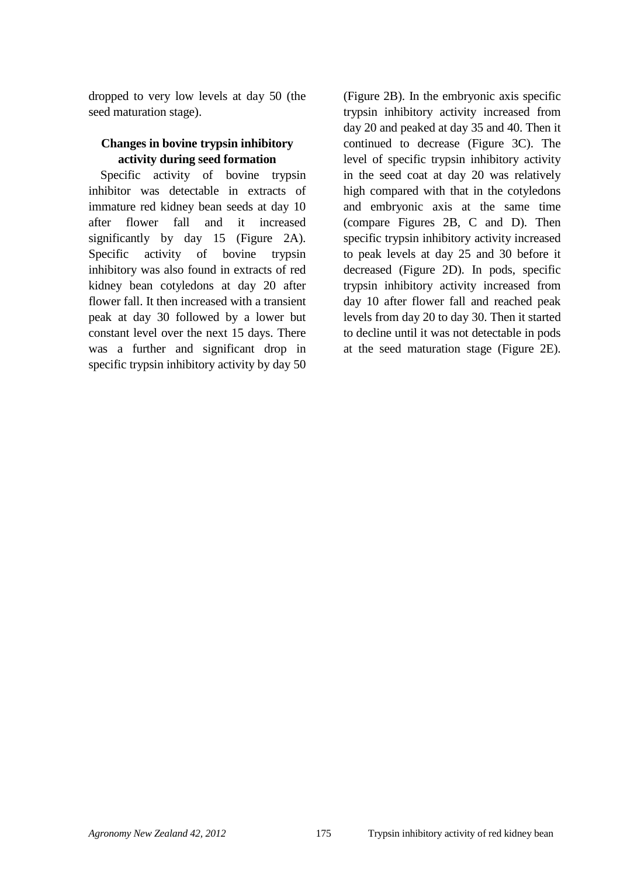dropped to very low levels at day 50 (the seed maturation stage).

### **Changes in bovine trypsin inhibitory activity during seed formation**

Specific activity of bovine trypsin inhibitor was detectable in extracts of immature red kidney bean seeds at day 10 after flower fall and it increased significantly by day 15 (Figure 2A). Specific activity of bovine trypsin inhibitory was also found in extracts of red kidney bean cotyledons at day 20 after flower fall. It then increased with a transient peak at day 30 followed by a lower but constant level over the next 15 days. There was a further and significant drop in specific trypsin inhibitory activity by day 50 (Figure 2B). In the embryonic axis specific trypsin inhibitory activity increased from day 20 and peaked at day 35 and 40. Then it continued to decrease (Figure 3C). The level of specific trypsin inhibitory activity in the seed coat at day 20 was relatively high compared with that in the cotyledons and embryonic axis at the same time (compare Figures 2B, C and D). Then specific trypsin inhibitory activity increased to peak levels at day 25 and 30 before it decreased (Figure 2D). In pods, specific trypsin inhibitory activity increased from day 10 after flower fall and reached peak levels from day 20 to day 30. Then it started to decline until it was not detectable in pods at the seed maturation stage (Figure 2E).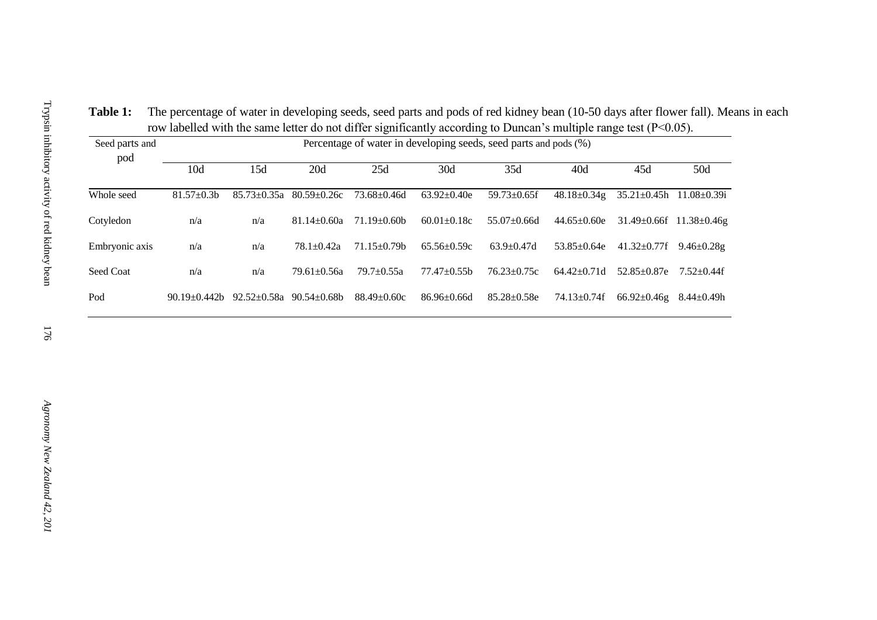**Table 1:** The percentage of water in developing seeds, seed parts and pods of red kidney bean (10-50 days after flower fall). Means in each row labelled with the same letter do not differ significantly according to Duncan's multiple range test (P<0.05).

| Seed parts and<br>pod | Percentage of water in developing seeds, seed parts and pods (%) |                   |                   |                   |                   |                    |                    |                    |                                     |
|-----------------------|------------------------------------------------------------------|-------------------|-------------------|-------------------|-------------------|--------------------|--------------------|--------------------|-------------------------------------|
|                       | 10d                                                              | 15d               | 20d               | 25d               | 30d               | 35d                | 40d                | 45d                | 50d                                 |
| Whole seed            | $81.57 \pm 0.3$ b                                                | $85.73 \pm 0.35a$ | $80.59 \pm 0.26c$ | $73.68 \pm 0.46d$ | $63.92 \pm 0.40e$ | $59.73 \pm 0.65$ f | $48.18 \pm 0.34$ g | $35.21 \pm 0.45h$  | $11.08 \pm 0.39i$                   |
| Cotyledon             | n/a                                                              | n/a               | $81.14 + 0.60a$   | $71.19 \pm 0.60$  | $60.01 \pm 0.18c$ | $55.07+0.66d$      | $44.65 \pm 0.60e$  |                    | $31.49 \pm 0.66f$ $11.38 \pm 0.46g$ |
| Embryonic axis        | n/a                                                              | n/a               | $78.1 + 0.42a$    | $71.15 + 0.79h$   | $65.56 + 0.59c$   | $63.9 \pm 0.47d$   | $53.85 \pm 0.64e$  | $41.32 \pm 0.77$ f | $9.46 \pm 0.28$ g                   |
| Seed Coat             | n/a                                                              | n/a               | $79.61 + 0.56a$   | $79.7+0.55a$      | $77.47 + 0.55$ b  | $76.23 \pm 0.75c$  | $64.42+0.71d$      | $52.85 \pm 0.87$ e | $7.52+0.44f$                        |
| Pod                   | $90.19 \pm 0.442$                                                | $92.52 \pm 0.58a$ | $90.54 \pm 0.68$  | $88.49 \pm 0.60c$ | $86.96\pm0.66d$   | $85.28 \pm 0.58$ e | $74.13 \pm 0.74$ f | $66.92 \pm 0.46$ g | $8.44 \pm 0.49$ h                   |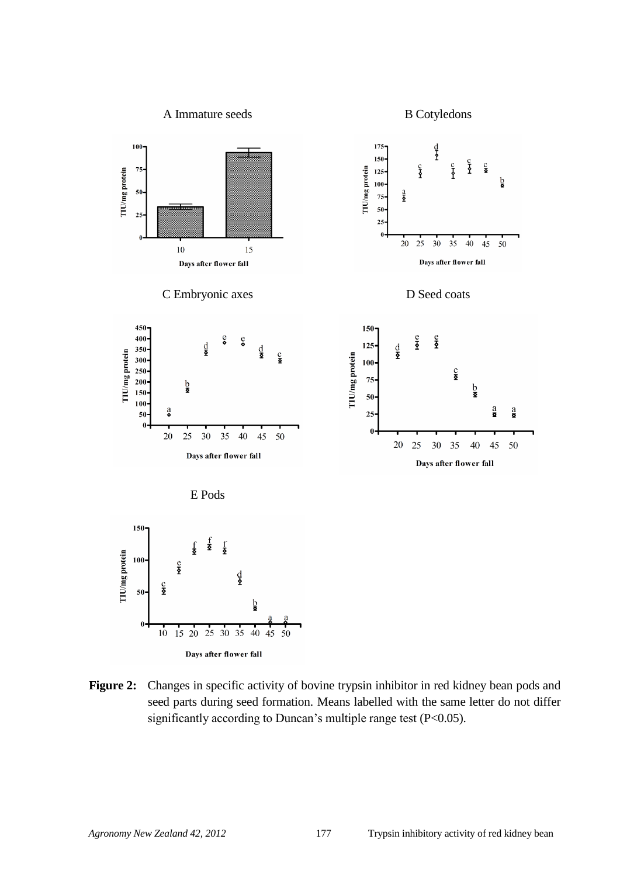

**Figure 2:** Changes in specific activity of bovine trypsin inhibitor in red kidney bean pods and seed parts during seed formation. Means labelled with the same letter do not differ significantly according to Duncan's multiple range test (P<0.05).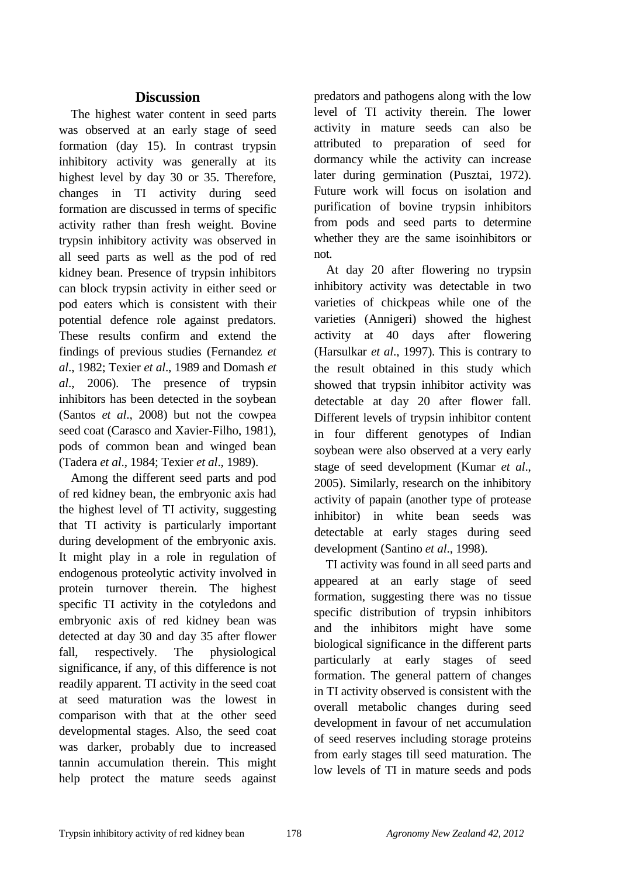# **Discussion**

The highest water content in seed parts was observed at an early stage of seed formation (day 15). In contrast trypsin inhibitory activity was generally at its highest level by day 30 or 35. Therefore, changes in TI activity during seed formation are discussed in terms of specific activity rather than fresh weight. Bovine trypsin inhibitory activity was observed in all seed parts as well as the pod of red kidney bean. Presence of trypsin inhibitors can block trypsin activity in either seed or pod eaters which is consistent with their potential defence role against predators. These results confirm and extend the findings of previous studies (Fernandez *et al*., 1982; Texier *et al*., 1989 and Domash *et al*., 2006). The presence of trypsin inhibitors has been detected in the soybean (Santos *et al*., 2008) but not the cowpea seed coat (Carasco and Xavier-Filho, 1981), pods of common bean and winged bean (Tadera *et al*., 1984; Texier *et al*., 1989).

Among the different seed parts and pod of red kidney bean, the embryonic axis had the highest level of TI activity, suggesting that TI activity is particularly important during development of the embryonic axis. It might play in a role in regulation of endogenous proteolytic activity involved in protein turnover therein. The highest specific TI activity in the cotyledons and embryonic axis of red kidney bean was detected at day 30 and day 35 after flower fall, respectively. The physiological significance, if any, of this difference is not readily apparent. TI activity in the seed coat at seed maturation was the lowest in comparison with that at the other seed developmental stages. Also, the seed coat was darker, probably due to increased tannin accumulation therein. This might help protect the mature seeds against predators and pathogens along with the low level of TI activity therein. The lower activity in mature seeds can also be attributed to preparation of seed for dormancy while the activity can increase later during germination (Pusztai, 1972). Future work will focus on isolation and purification of bovine trypsin inhibitors from pods and seed parts to determine whether they are the same isoinhibitors or not.

At day 20 after flowering no trypsin inhibitory activity was detectable in two varieties of chickpeas while one of the varieties (Annigeri) showed the highest activity at 40 days after flowering (Harsulkar *et al*., 1997). This is contrary to the result obtained in this study which showed that trypsin inhibitor activity was detectable at day 20 after flower fall. Different levels of trypsin inhibitor content in four different genotypes of Indian soybean were also observed at a very early stage of seed development (Kumar *et al*., 2005). Similarly, research on the inhibitory activity of papain (another type of protease inhibitor) in white bean seeds was detectable at early stages during seed development (Santino *et al*., 1998).

TI activity was found in all seed parts and appeared at an early stage of seed formation, suggesting there was no tissue specific distribution of trypsin inhibitors and the inhibitors might have some biological significance in the different parts particularly at early stages of seed formation. The general pattern of changes in TI activity observed is consistent with the overall metabolic changes during seed development in favour of net accumulation of seed reserves including storage proteins from early stages till seed maturation. The low levels of TI in mature seeds and pods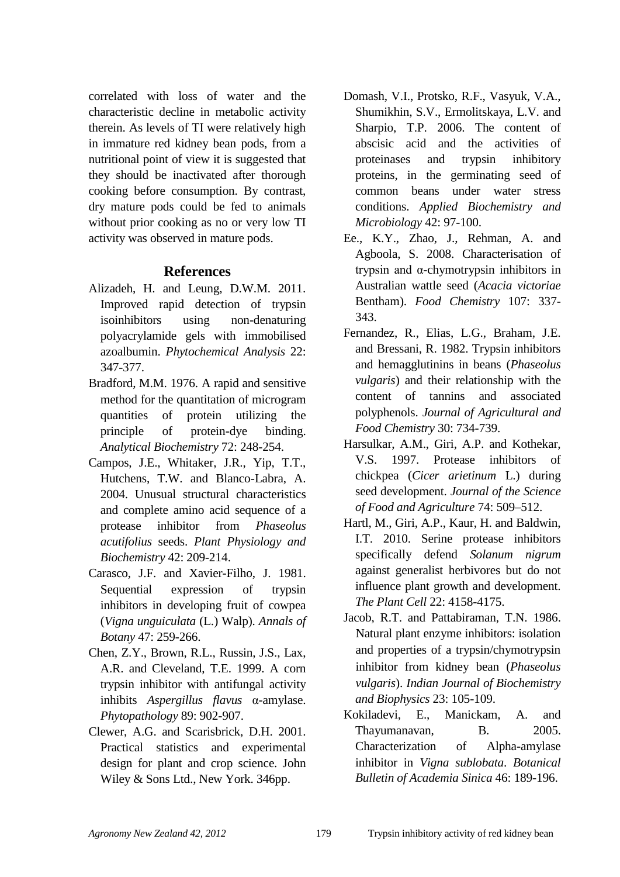correlated with loss of water and the characteristic decline in metabolic activity therein. As levels of TI were relatively high in immature red kidney bean pods, from a nutritional point of view it is suggested that they should be inactivated after thorough cooking before consumption. By contrast, dry mature pods could be fed to animals without prior cooking as no or very low TI activity was observed in mature pods.

# **References**

- Alizadeh, H. and Leung, D.W.M. 2011. Improved rapid detection of trypsin isoinhibitors using non-denaturing polyacrylamide gels with immobilised azoalbumin. *Phytochemical Analysis* 22: 347-377.
- Bradford, M.M. 1976. A rapid and sensitive method for the quantitation of microgram quantities of protein utilizing the principle of protein-dye binding. *Analytical Biochemistry* 72: 248-254.
- Campos, J.E., Whitaker, J.R., Yip, T.T., Hutchens, T.W. and Blanco-Labra, A. 2004. Unusual structural characteristics and complete amino acid sequence of a protease inhibitor from *Phaseolus acutifolius* seeds. *Plant Physiology and Biochemistry* 42: 209-214.
- Carasco, J.F. and Xavier-Filho, J. 1981. Sequential expression of trypsin inhibitors in developing fruit of cowpea (*Vigna unguiculata* (L.) Walp). *Annals of Botany* 47: 259-266.
- Chen, Z.Y., Brown, R.L., Russin, J.S., Lax, A.R. and Cleveland, T.E. 1999. A corn trypsin inhibitor with antifungal activity inhibits *Aspergillus flavus* α-amylase. *Phytopathology* 89: 902-907.
- Clewer, A.G. and Scarisbrick, D.H. 2001. Practical statistics and experimental design for plant and crop science. John Wiley & Sons Ltd., New York. 346pp.
- Domash, V.I., Protsko, R.F., Vasyuk, V.A., Shumikhin, S.V., Ermolitskaya, L.V. and Sharpio, T.P. 2006. The content of abscisic acid and the activities of proteinases and trypsin inhibitory proteins, in the germinating seed of common beans under water stress conditions. *Applied Biochemistry and Microbiology* 42: 97-100.
- Ee., K.Y., Zhao, J., Rehman, A. and Agboola, S. 2008. Characterisation of trypsin and α-chymotrypsin inhibitors in Australian wattle seed (*Acacia victoriae* Bentham). *Food Chemistry* 107: 337- 343.
- Fernandez, R., Elias, L.G., Braham, J.E. and Bressani, R. 1982. Trypsin inhibitors and hemagglutinins in beans (*Phaseolus vulgaris*) and their relationship with the content of tannins and associated polyphenols. *Journal of Agricultural and Food Chemistry* 30: 734-739.
- Harsulkar, A.M., Giri, A.P. and Kothekar, V.S. 1997. Protease inhibitors of chickpea (*Cicer arietinum* L.) during seed development. *Journal of the Science of Food and Agriculture* 74: 509–512.
- Hartl, M., Giri, A.P., Kaur, H. and Baldwin, I.T. 2010. Serine protease inhibitors specifically defend *Solanum nigrum* against generalist herbivores but do not influence plant growth and development. *The Plant Cell* 22: 4158-4175.
- Jacob, R.T. and Pattabiraman, T.N. 1986. Natural plant enzyme inhibitors: isolation and properties of a trypsin/chymotrypsin inhibitor from kidney bean (*Phaseolus vulgaris*). *Indian Journal of Biochemistry and Biophysics* 23: 105-109.
- Kokiladevi, E., Manickam, A. and Thayumanavan, B. 2005. Characterization of Alpha-amylase inhibitor in *Vigna sublobata*. *Botanical Bulletin of Academia Sinica* 46: 189-196.